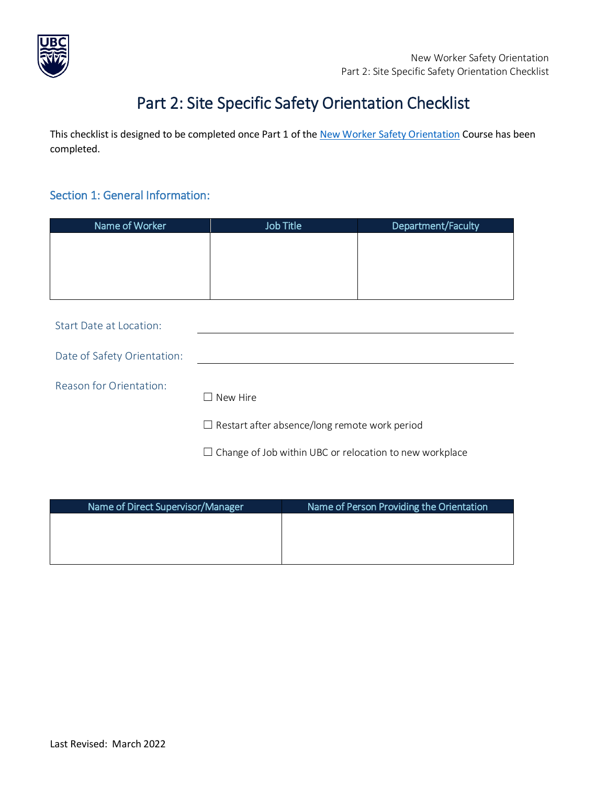

# Part 2: Site Specific Safety Orientation Checklist

This checklist is designed to be completed once Part 1 of the New Worker [Safety Orientation](https://wpl.ubc.ca/browse/srs/mandatory/courses/wpl-srs-newsot) Course has been completed.

## Section 1: General Information:

| Name of Worker | Job Title | Department/Faculty |  |  |
|----------------|-----------|--------------------|--|--|
|                |           |                    |  |  |
|                |           |                    |  |  |
|                |           |                    |  |  |
|                |           |                    |  |  |
|                |           |                    |  |  |

| Start Date at Location:     |                                                                  |
|-----------------------------|------------------------------------------------------------------|
| Date of Safety Orientation: |                                                                  |
| Reason for Orientation:     | New Hire<br>$\Box$ Restart after absence/long remote work period |
|                             | $\Box$ Change of Job within UBC or relocation to new workplace   |

| Name of Direct Supervisor/Manager | Name of Person Providing the Orientation |  |  |  |  |
|-----------------------------------|------------------------------------------|--|--|--|--|
|                                   |                                          |  |  |  |  |
|                                   |                                          |  |  |  |  |
|                                   |                                          |  |  |  |  |
|                                   |                                          |  |  |  |  |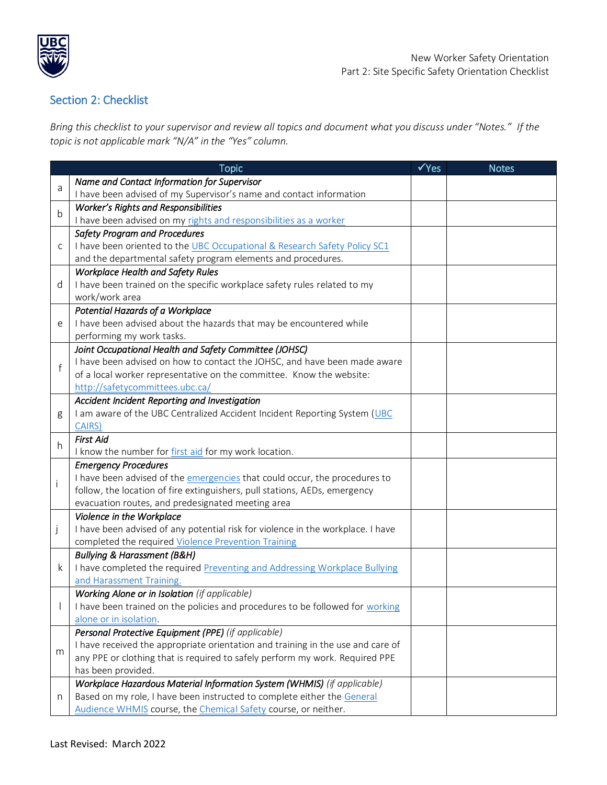

## Section 2: Checklist

*Bring this checklist to your supervisor and review all topics and document what you discuss under "Notes." If the topic is not applicable mark "N/A" in the "Yes" column.*

|             | <b>Topic</b>                                                                    | $\sqrt{Yes}$ | <b>Notes</b> |
|-------------|---------------------------------------------------------------------------------|--------------|--------------|
|             | Name and Contact Information for Supervisor                                     |              |              |
| a           | I have been advised of my Supervisor's name and contact information             |              |              |
|             | <b>Worker's Rights and Responsibilities</b>                                     |              |              |
| b           | I have been advised on my rights and responsibilities as a worker               |              |              |
|             | <b>Safety Program and Procedures</b>                                            |              |              |
| C           | I have been oriented to the UBC Occupational & Research Safety Policy SC1       |              |              |
|             | and the departmental safety program elements and procedures.                    |              |              |
|             | <b>Workplace Health and Safety Rules</b>                                        |              |              |
| d           | I have been trained on the specific workplace safety rules related to my        |              |              |
|             | work/work area                                                                  |              |              |
|             | Potential Hazards of a Workplace                                                |              |              |
| e           | I have been advised about the hazards that may be encountered while             |              |              |
|             | performing my work tasks.                                                       |              |              |
|             | Joint Occupational Health and Safety Committee (JOHSC)                          |              |              |
| $\mathsf f$ | I have been advised on how to contact the JOHSC, and have been made aware       |              |              |
|             | of a local worker representative on the committee. Know the website:            |              |              |
|             | http://safetycommittees.ubc.ca/                                                 |              |              |
|             | Accident Incident Reporting and Investigation                                   |              |              |
| g           | I am aware of the UBC Centralized Accident Incident Reporting System (UBC       |              |              |
|             | CAIRS)                                                                          |              |              |
| h           | <b>First Aid</b>                                                                |              |              |
|             | I know the number for first aid for my work location.                           |              |              |
|             | <b>Emergency Procedures</b>                                                     |              |              |
| İ           | I have been advised of the emergencies that could occur, the procedures to      |              |              |
|             | follow, the location of fire extinguishers, pull stations, AEDs, emergency      |              |              |
|             | evacuation routes, and predesignated meeting area                               |              |              |
|             | Violence in the Workplace                                                       |              |              |
| J           | I have been advised of any potential risk for violence in the workplace. I have |              |              |
|             | completed the required Violence Prevention Training                             |              |              |
| k           | <b>Bullying &amp; Harassment (B&amp;H)</b>                                      |              |              |
|             | I have completed the required Preventing and Addressing Workplace Bullying      |              |              |
|             | and Harassment Training.                                                        |              |              |
|             | <b>Working Alone or in Isolation</b> (if applicable)                            |              |              |
|             | I have been trained on the policies and procedures to be followed for working   |              |              |
|             | alone or in isolation.                                                          |              |              |
| m           | Personal Protective Equipment (PPE) (if applicable)                             |              |              |
|             | I have received the appropriate orientation and training in the use and care of |              |              |
|             | any PPE or clothing that is required to safely perform my work. Required PPE    |              |              |
|             | has been provided.                                                              |              |              |
| n           | Workplace Hazardous Material Information System (WHMIS) (if applicable)         |              |              |
|             | Based on my role, I have been instructed to complete either the General         |              |              |
|             | Audience WHMIS course, the Chemical Safety course, or neither.                  |              |              |